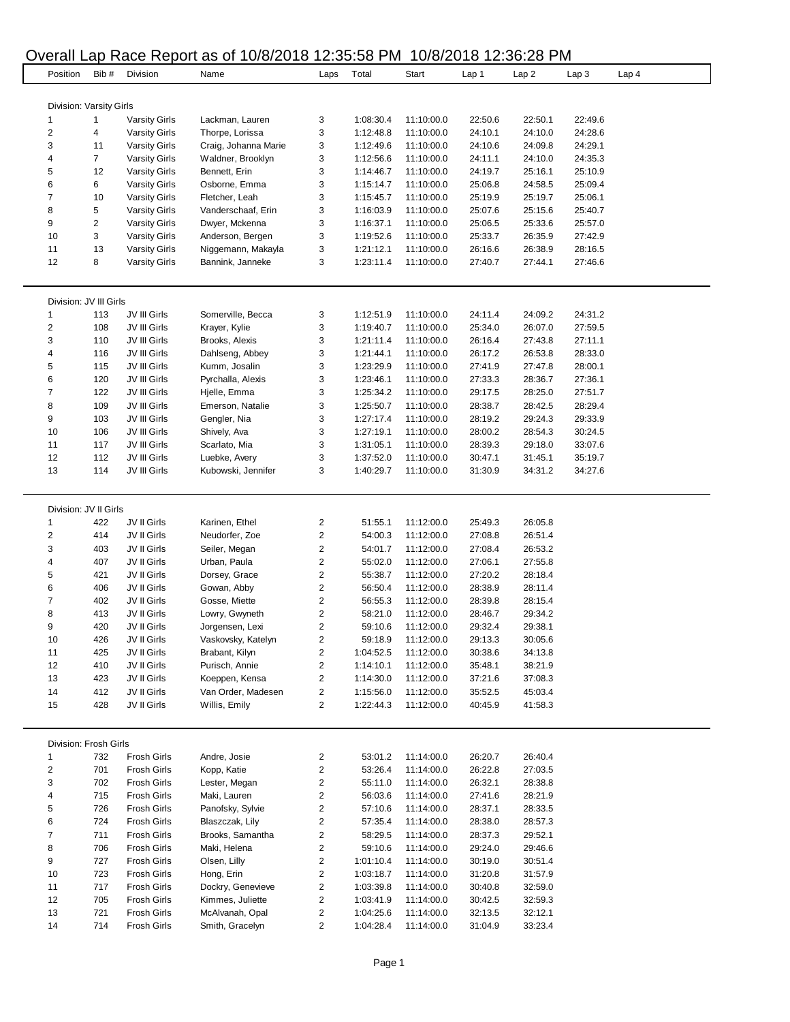# Overall Lap Race Report as of 10/8/2018 12:35:58 PM 10/8/2018 12:36:28 PM

| Position                | Bib#    | Division                                     | <b>LUP INDUCTION COUPOIDED</b>            |                         | $1 - 00.00111$<br>Total | Start                    | Lap 1              |                    |                    | Lap 4 |
|-------------------------|---------|----------------------------------------------|-------------------------------------------|-------------------------|-------------------------|--------------------------|--------------------|--------------------|--------------------|-------|
|                         |         |                                              | Name                                      | Laps                    |                         |                          |                    | Lap 2              | Lap <sub>3</sub>   |       |
|                         |         |                                              |                                           |                         |                         |                          |                    |                    |                    |       |
| Division: Varsity Girls |         |                                              |                                           |                         |                         |                          |                    |                    |                    |       |
| 1                       | 1       | <b>Varsity Girls</b>                         | Lackman, Lauren                           | 3                       | 1:08:30.4               | 11:10:00.0               | 22:50.6            | 22:50.1            | 22:49.6<br>24:28.6 |       |
| 2                       | 4       | <b>Varsity Girls</b>                         | Thorpe, Lorissa                           | 3                       | 1:12:48.8               | 11:10:00.0               | 24:10.1            | 24:10.0            |                    |       |
| 3<br>4                  | 11<br>7 | <b>Varsity Girls</b>                         | Craig, Johanna Marie<br>Waldner, Brooklyn | 3<br>3                  | 1:12:49.6<br>1:12:56.6  | 11:10:00.0<br>11:10:00.0 | 24:10.6<br>24:11.1 | 24:09.8<br>24:10.0 | 24:29.1<br>24:35.3 |       |
| 5                       | 12      | <b>Varsity Girls</b><br><b>Varsity Girls</b> | Bennett, Erin                             | 3                       | 1:14:46.7               | 11:10:00.0               | 24:19.7            | 25:16.1            | 25:10.9            |       |
| 6                       | 6       | <b>Varsity Girls</b>                         | Osborne, Emma                             | 3                       | 1:15:14.7               | 11:10:00.0               | 25:06.8            | 24:58.5            | 25:09.4            |       |
| 7                       | 10      | <b>Varsity Girls</b>                         | Fletcher, Leah                            | 3                       | 1:15:45.7               | 11:10:00.0               | 25:19.9            | 25:19.7            | 25:06.1            |       |
| 8                       | 5       | <b>Varsity Girls</b>                         | Vanderschaaf, Erin                        | 3                       | 1:16:03.9               | 11:10:00.0               | 25:07.6            | 25:15.6            | 25:40.7            |       |
| 9                       | 2       | <b>Varsity Girls</b>                         | Dwyer, Mckenna                            | 3                       | 1:16:37.1               | 11:10:00.0               | 25:06.5            | 25:33.6            | 25:57.0            |       |
| 10                      | 3       | <b>Varsity Girls</b>                         | Anderson, Bergen                          | 3                       | 1:19:52.6               | 11:10:00.0               | 25:33.7            | 26:35.9            | 27:42.9            |       |
| 11                      | 13      | <b>Varsity Girls</b>                         | Niggemann, Makayla                        | 3                       | 1:21:12.1               | 11:10:00.0               | 26:16.6            | 26:38.9            | 28:16.5            |       |
| 12                      | 8       | <b>Varsity Girls</b>                         | Bannink, Janneke                          | 3                       | 1:23:11.4               | 11:10:00.0               | 27:40.7            | 27:44.1            | 27:46.6            |       |
|                         |         |                                              |                                           |                         |                         |                          |                    |                    |                    |       |
|                         |         |                                              |                                           |                         |                         |                          |                    |                    |                    |       |
| Division: JV III Girls  |         |                                              |                                           |                         |                         |                          |                    |                    |                    |       |
| 1                       | 113     | JV III Girls                                 | Somerville, Becca                         | 3                       | 1:12:51.9               | 11:10:00.0               | 24:11.4            | 24:09.2            | 24:31.2            |       |
| 2                       | 108     | JV III Girls                                 | Krayer, Kylie                             | 3                       | 1:19:40.7               | 11:10:00.0               | 25:34.0            | 26:07.0            | 27:59.5            |       |
| 3                       | 110     | JV III Girls                                 | Brooks, Alexis                            | 3                       | 1:21:11.4               | 11:10:00.0               | 26:16.4            | 27:43.8            | 27:11.1            |       |
| 4                       | 116     | JV III Girls                                 | Dahlseng, Abbey                           | 3                       | 1:21:44.1               | 11:10:00.0               | 26:17.2            | 26:53.8            | 28:33.0            |       |
| 5                       | 115     | JV III Girls                                 | Kumm, Josalin                             | 3                       | 1:23:29.9               | 11:10:00.0               | 27:41.9            | 27:47.8            | 28:00.1            |       |
| 6                       | 120     | JV III Girls                                 | Pyrchalla, Alexis                         | 3                       | 1:23:46.1               | 11:10:00.0               | 27:33.3            | 28:36.7            | 27:36.1            |       |
| 7                       | 122     | JV III Girls                                 | Hjelle, Emma                              | 3                       | 1:25:34.2               | 11:10:00.0               | 29:17.5            | 28:25.0            | 27:51.7            |       |
| 8                       | 109     | JV III Girls                                 | Emerson, Natalie                          | 3                       | 1:25:50.7               | 11:10:00.0               | 28:38.7            | 28:42.5            | 28:29.4            |       |
| 9                       | 103     | JV III Girls                                 | Gengler, Nia                              | 3                       | 1:27:17.4               | 11:10:00.0               | 28:19.2            | 29:24.3            | 29:33.9            |       |
| 10                      | 106     | JV III Girls                                 | Shively, Ava                              | 3                       | 1:27:19.1               | 11:10:00.0               | 28:00.2            | 28:54.3            | 30:24.5            |       |
| 11                      | 117     | JV III Girls                                 | Scarlato, Mia                             | 3                       | 1:31:05.1               | 11:10:00.0               | 28:39.3            | 29:18.0            | 33:07.6            |       |
| 12                      | 112     | JV III Girls                                 | Luebke, Avery                             | 3                       | 1:37:52.0               | 11:10:00.0               | 30:47.1            | 31:45.1            | 35:19.7            |       |
| 13                      | 114     | JV III Girls                                 | Kubowski, Jennifer                        | 3                       | 1:40:29.7               | 11:10:00.0               | 31:30.9            | 34:31.2            | 34:27.6            |       |
|                         |         |                                              |                                           |                         |                         |                          |                    |                    |                    |       |
|                         |         |                                              |                                           |                         |                         |                          |                    |                    |                    |       |
| Division: JV II Girls   |         |                                              |                                           |                         |                         |                          |                    |                    |                    |       |
| 1                       | 422     | JV II Girls                                  | Karinen, Ethel                            | $\overline{\mathbf{c}}$ | 51:55.1                 | 11:12:00.0               | 25:49.3            | 26:05.8            |                    |       |
| $\overline{\mathbf{c}}$ | 414     | JV II Girls                                  | Neudorfer, Zoe                            | $\overline{c}$          | 54:00.3                 | 11:12:00.0               | 27:08.8            | 26:51.4            |                    |       |
| 3                       | 403     | JV II Girls                                  | Seiler, Megan                             | 2                       | 54:01.7                 | 11:12:00.0               | 27:08.4            | 26:53.2            |                    |       |
| 4                       | 407     | JV II Girls                                  | Urban, Paula                              | 2                       | 55:02.0                 | 11:12:00.0               | 27:06.1            | 27:55.8            |                    |       |
| 5                       | 421     | JV II Girls                                  | Dorsey, Grace                             | $\overline{\mathbf{c}}$ | 55:38.7                 | 11:12:00.0               | 27:20.2            | 28:18.4            |                    |       |
| 6                       | 406     | JV II Girls                                  | Gowan, Abby                               | 2                       | 56:50.4                 | 11:12:00.0               | 28:38.9            | 28:11.4            |                    |       |
| 7                       | 402     | JV II Girls                                  | Gosse, Miette                             | 2                       | 56:55.3                 | 11:12:00.0               | 28:39.8            | 28:15.4            |                    |       |
| 8                       | 413     | JV II Girls                                  | Lowry, Gwyneth                            | 2                       | 58:21.0                 | 11:12:00.0               | 28:46.7            | 29:34.2            |                    |       |
| 9                       | 420     | JV II Girls                                  | Jorgensen, Lexi                           | 2                       | 59:10.6                 | 11:12:00.0               | 29:32.4            | 29:38.1            |                    |       |
| 10                      | 426     | JV II Girls                                  | Vaskovsky, Katelyn                        | $\mathbf{z}$            | 59:18.9                 | 11:12:00.0               | 29:13.3            | 30:05.6            |                    |       |
| 11                      | 425     | JV II Girls                                  | Brabant, Kilyn                            | 2                       | 1:04:52.5               | 11:12:00.0               | 30:38.6            | 34:13.8            |                    |       |
| 12                      | 410     | JV II Girls                                  | Purisch, Annie                            | 2                       | 1:14:10.1               | 11:12:00.0               | 35:48.1            | 38:21.9            |                    |       |
| 13                      | 423     | JV II Girls                                  | Koeppen, Kensa                            | 2                       | 1:14:30.0               | 11:12:00.0               | 37:21.6            | 37:08.3            |                    |       |
| 14                      | 412     | JV II Girls                                  | Van Order, Madesen                        | 2                       | 1:15:56.0               | 11:12:00.0               | 35:52.5            | 45:03.4            |                    |       |
| 15                      | 428     | JV II Girls                                  | Willis, Emily                             | 2                       | 1:22:44.3               | 11:12:00.0               | 40:45.9            | 41:58.3            |                    |       |
|                         |         |                                              |                                           |                         |                         |                          |                    |                    |                    |       |
|                         |         |                                              |                                           |                         |                         |                          |                    |                    |                    |       |
| Division: Frosh Girls   |         |                                              |                                           |                         |                         |                          |                    |                    |                    |       |
| 1                       | 732     | Frosh Girls                                  | Andre, Josie                              | $\overline{\mathbf{c}}$ | 53:01.2                 | 11:14:00.0               | 26:20.7            | 26:40.4            |                    |       |
| 2                       | 701     | <b>Frosh Girls</b>                           | Kopp, Katie                               | 2                       | 53:26.4                 | 11:14:00.0               | 26:22.8            | 27:03.5            |                    |       |
| 3                       | 702     | <b>Frosh Girls</b>                           | Lester, Megan                             | 2                       | 55:11.0                 | 11:14:00.0               | 26:32.1            | 28:38.8            |                    |       |
| 4                       | 715     | <b>Frosh Girls</b>                           | Maki, Lauren                              | 2                       | 56:03.6                 | 11:14:00.0               | 27:41.6            | 28:21.9            |                    |       |
| 5                       | 726     | <b>Frosh Girls</b>                           | Panofsky, Sylvie                          | $\overline{\mathbf{c}}$ | 57:10.6                 | 11:14:00.0               | 28:37.1            | 28:33.5            |                    |       |
| 6                       | 724     | <b>Frosh Girls</b>                           | Blaszczak, Lily                           | 2                       | 57:35.4                 | 11:14:00.0               | 28:38.0            | 28:57.3            |                    |       |
| 7                       | 711     | <b>Frosh Girls</b>                           | Brooks, Samantha                          | 2                       | 58:29.5                 | 11:14:00.0               | 28:37.3            | 29:52.1            |                    |       |
| 8                       | 706     | <b>Frosh Girls</b>                           | Maki, Helena                              | 2                       | 59:10.6                 | 11:14:00.0               | 29:24.0            | 29:46.6            |                    |       |
| 9                       | 727     | Frosh Girls                                  | Olsen, Lilly                              | 2                       | 1:01:10.4               | 11:14:00.0               | 30:19.0            | 30:51.4            |                    |       |
| 10                      | 723     | <b>Frosh Girls</b>                           | Hong, Erin                                | 2                       | 1:03:18.7               | 11:14:00.0               | 31:20.8            | 31:57.9            |                    |       |
| 11                      | 717     | <b>Frosh Girls</b>                           | Dockry, Genevieve                         | 2                       | 1:03:39.8               | 11:14:00.0               | 30:40.8            | 32:59.0            |                    |       |
| 12                      | 705     | <b>Frosh Girls</b>                           | Kimmes, Juliette                          | 2                       | 1:03:41.9               | 11:14:00.0               | 30:42.5            | 32:59.3            |                    |       |
| 13                      | 721     | <b>Frosh Girls</b>                           | McAlvanah, Opal                           | 2                       | 1:04:25.6               | 11:14:00.0               | 32:13.5            | 32:12.1            |                    |       |
| 14                      | 714     | Frosh Girls                                  | Smith, Gracelyn                           | 2                       | 1:04:28.4               | 11:14:00.0               | 31:04.9            | 33:23.4            |                    |       |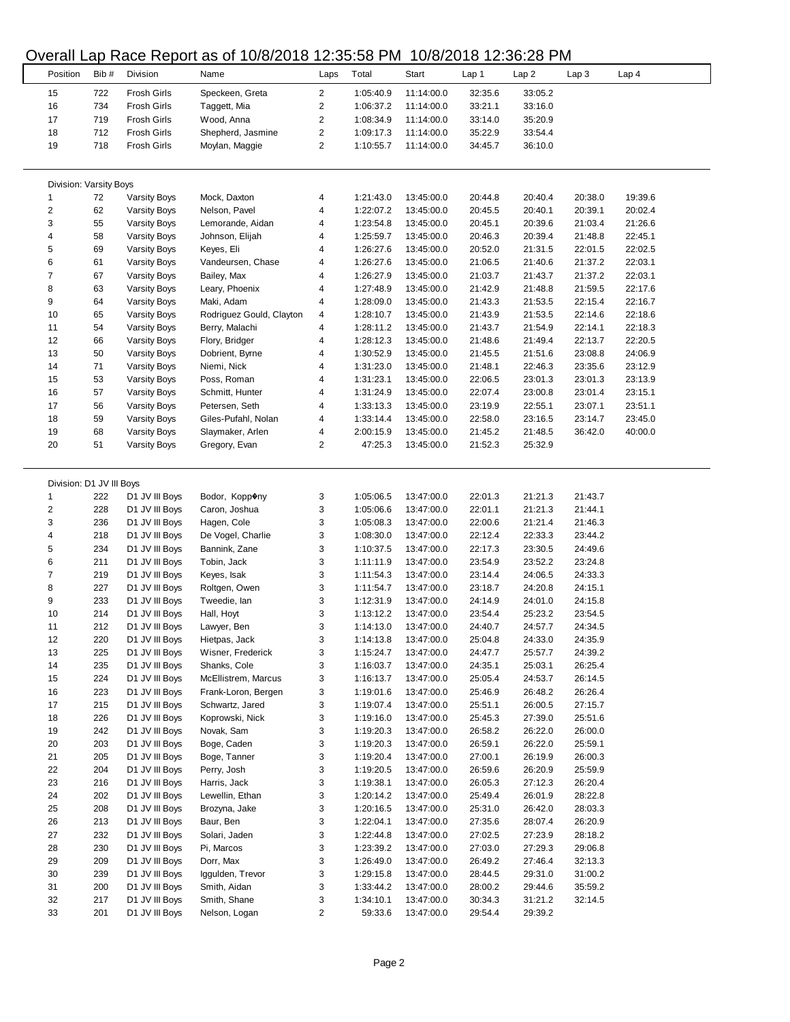#### Position Bib= Division Name Laps Total Start Lap 1 Lap 2 Lap 3 Lap 4 722 Frosh Girls Speckeen, Greta 2 1:05:40.9 11:14:00.0 32:35.6 33:05.2 734 Frosh Girls Taggett, Mia 2 1:06:37.2 11:14:00.0 33:21.1 33:16.0 719 Frosh Girls Wood, Anna 2 1:08:34.9 11:14:00.0 33:14.0 35:20.9 712 Frosh Girls Shepherd, Jasmine 2 1:09:17.3 11:14:00.0 35:22.9 33:54.4 718 Frosh Girls Moylan, Maggie 2 1:10:55.7 11:14:00.0 34:45.7 36:10.0 Division: Varsity Boys 72 Varsity Boys Mock, Daxton 4 1:21:43.0 13:45:00.0 20:44.8 20:40.4 20:38.0 19:39.6 62 Varsity Boys Nelson, Pavel 4 1:22:07.2 13:45:00.0 20:45.5 20:40.1 20:39.1 20:02.4 55 Varsity Boys Lemorande, Aidan 4 1:23:54.8 13:45:00.0 20:45.1 20:39.6 21:03.4 21:26.6 58 Varsity Boys Johnson, Elijah 4 1:25:59.7 13:45:00.0 20:46.3 20:39.4 21:48.8 22:45.1 69 Varsity Boys Keyes, Eli 4 1:26:27.6 13:45:00.0 20:52.0 21:31.5 22:01.5 22:02.5 61 Varsity Boys Vandeursen, Chase 4 1:26:27.6 13:45:00.0 21:06.5 21:40.6 21:37.2 22:03.1 67 Varsity Boys Bailey, Max 4 1:26:27.9 13:45:00.0 21:03.7 21:43.7 21:37.2 22:03.1 63 Varsity Boys Leary, Phoenix 4 1:27:48.9 13:45:00.0 21:42.9 21:48.8 21:59.5 22:17.6 64 Varsity Boys Maki, Adam 4 1:28:09.0 13:45:00.0 21:43.3 21:53.5 22:15.4 22:16.7 65 Varsity Boys Rodriguez Gould, Clayton 4 1:28:10.7 13:45:00.0 21:43.9 21:53.5 22:14.6 22:18.6 54 Varsity Boys Berry, Malachi 4 1:28:11.2 13:45:00.0 21:43.7 21:54.9 22:14.1 22:18.3 66 Varsity Boys Flory, Bridger 4 1:28:12.3 13:45:00.0 21:48.6 21:49.4 22:13.7 22:20.5 50 Varsity Boys Dobrient, Byrne 4 1:30:52.9 13:45:00.0 21:45.5 21:51.6 23:08.8 24:06.9 71 Varsity Boys Niemi, Nick 4 1:31:23.0 13:45:00.0 21:48.1 22:46.3 23:35.6 23:12.9 53 Varsity Boys Poss, Roman 4 1:31:23.1 13:45:00.0 22:06.5 23:01.3 23:01.3 23:13.9 57 Varsity Boys Schmitt, Hunter 4 1:31:24.9 13:45:00.0 22:07.4 23:00.8 23:01.4 23:15.1 56 Varsity Boys Petersen, Seth 4 1:33:13.3 13:45:00.0 23:19.9 22:55.1 23:07.1 23:51.1 59 Varsity Boys Giles-Pufahl, Nolan 4 1:33:14.4 13:45:00.0 22:58.0 23:16.5 23:14.7 23:45.0 68 Varsity Boys Slaymaker, Arlen 4 2:00:15.9 13:45:00.0 21:45.2 21:48.5 36:42.0 40:00.0 51 Varsity Boys Gregory, Evan 2 47:25.3 13:45:00.0 21:52.3 25:32.9 Division: D1 JV III Boys 222 D1 JV III Boys Bodor, Kopp�ny 3 1:05:06.5 13:47:00.0 22:01.3 21:21.3 21:43.7 228 D1 JV III Boys Caron, Joshua 3 1:05:06.6 13:47:00.0 22:01.1 21:21.3 21:44.1 236 D1 JV III Boys Hagen, Cole 3 1:05:08.3 13:47:00.0 22:00.6 21:21.4 21:46.3 218 D1 JV III Boys De Vogel, Charlie 3 1:08:30.0 13:47:00.0 22:12.4 22:33.3 23:44.2 234 D1 JV III Boys Bannink, Zane 3 1:10:37.5 13:47:00.0 22:17.3 23:30.5 24:49.6 211 D1 JV III Boys Tobin, Jack 3 1:11:11.9 13:47:00.0 23:54.9 23:52.2 23:24.8 219 D1 JV III Boys Keyes, Isak 3 1:11:54.3 13:47:00.0 23:14.4 24:06.5 24:33.3 227 D1 JV III Boys Roltgen, Owen 3 1:11:54.7 13:47:00.0 23:18.7 24:20.8 24:15.1 233 D1 JV III Boys Tweedie, Ian 3 1:12:31.9 13:47:00.0 24:14.9 24:01.0 24:15.8 214 D1 JV III Boys Hall, Hoyt 3 1:13:12.2 13:47:00.0 23:54.4 25:23.2 23:54.5 212 D1 JV III Boys Lawyer, Ben 3 1:14:13.0 13:47:00.0 24:40.7 24:57.7 24:34.5 220 D1 JV III Boys Hietpas, Jack 3 1:14:13.8 13:47:00.0 25:04.8 24:33.0 24:35.9 225 D1 JV III Boys Wisner, Frederick 3 1:15:24.7 13:47:00.0 24:47.7 25:57.7 24:39.2 235 D1 JV III Boys Shanks, Cole 3 1:16:03.7 13:47:00.0 24:35.1 25:03.1 26:25.4 224 D1 JV III Boys McEllistrem, Marcus 3 1:16:13.7 13:47:00.0 25:05.4 24:53.7 26:14.5 223 D1 JV III Boys Frank-Loron, Bergen 3 1:19:01.6 13:47:00.0 25:46.9 26:48.2 26:26.4 215 D1 JV III Boys Schwartz, Jared 3 1:19:07.4 13:47:00.0 25:51.1 26:00.5 27:15.7 226 D1 JV III Boys Koprowski, Nick 3 1:19:16.0 13:47:00.0 25:45.3 27:39.0 25:51.6 242 D1 JV III Boys Novak, Sam 3 1:19:20.3 13:47:00.0 26:58.2 26:22.0 26:00.0 203 D1 JV III Boys Boge, Caden 3 1:19:20.3 13:47:00.0 26:59.1 26:22.0 25:59.1 205 D1 JV III Boys Boge, Tanner 3 1:19:20.4 13:47:00.0 27:00.1 26:19.9 26:00.3 204 D1 JV III Boys Perry, Josh 3 1:19:20.5 13:47:00.0 26:59.6 26:20.9 25:59.9 216 D1 JV III Boys Harris, Jack 3 1:19:38.1 13:47:00.0 26:05.3 27:12.3 26:20.4 202 D1 JV III Boys Lewellin, Ethan 3 1:20:14.2 13:47:00.0 25:49.4 26:01.9 28:22.8 208 D1 JV III Boys Brozyna, Jake 3 1:20:16.5 13:47:00.0 25:31.0 26:42.0 28:03.3 213 D1 JV III Boys Baur, Ben 3 1:22:04.1 13:47:00.0 27:35.6 28:07.4 26:20.9 232 D1 JV III Boys Solari, Jaden 3 1:22:44.8 13:47:00.0 27:02.5 27:23.9 28:18.2 230 D1 JV III Boys Pi, Marcos 3 1:23:39.2 13:47:00.0 27:03.0 27:29.3 29:06.8 209 D1 JV III Boys Dorr, Max 3 1:26:49.0 13:47:00.0 26:49.2 27:46.4 32:13.3 239 D1 JV III Boys Iggulden, Trevor 3 1:29:15.8 13:47:00.0 28:44.5 29:31.0 31:00.2 200 D1 JV III Boys Smith, Aidan 3 1:33:44.2 13:47:00.0 28:00.2 29:44.6 35:59.2 217 D1 JV III Boys Smith, Shane 3 1:34:10.1 13:47:00.0 30:34.3 31:21.2 32:14.5 201 D1 JV III Boys Nelson, Logan 2 59:33.6 13:47:00.0 29:54.4 29:39.2

#### Overall Lap Race Report as of 10/8/2018 12:35:58 PM 10/8/2018 12:36:28 PM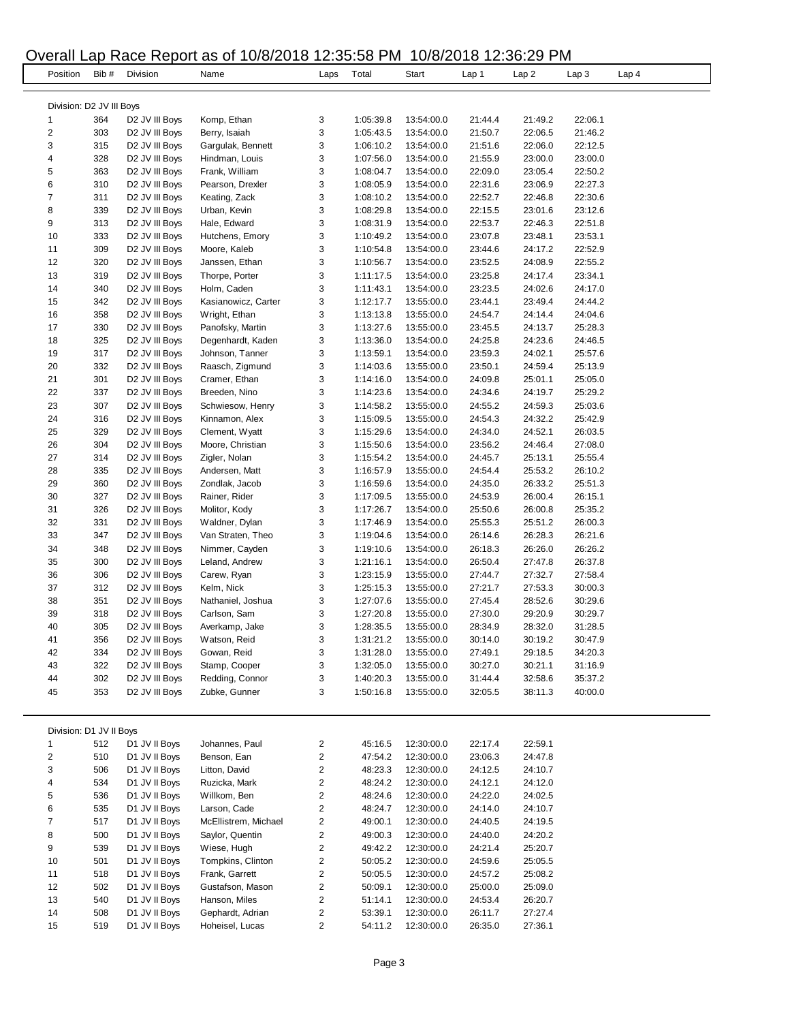## Overall Lap Race Report as of 10/8/2018 12:35:58 PM 10/8/2018 12:36:29 PM

L  $\overline{a}$ 

 $\overline{a}$ 

|                          |      |                            | Overali Lap Race Report as 01 T0/6/2010 12.33.36 PM T0/6/2010 12.36.29 PM |                         |           |            |         |         |         |                  |
|--------------------------|------|----------------------------|---------------------------------------------------------------------------|-------------------------|-----------|------------|---------|---------|---------|------------------|
| Position                 | Bib# | Division                   | Name                                                                      | Laps                    | Total     | Start      | Lap 1   | Lap 2   | Lap 3   | Lap <sub>4</sub> |
|                          |      |                            |                                                                           |                         |           |            |         |         |         |                  |
|                          |      |                            |                                                                           |                         |           |            |         |         |         |                  |
| Division: D2 JV III Boys |      |                            |                                                                           |                         |           |            |         |         |         |                  |
| 1                        | 364  | D2 JV III Boys             | Komp, Ethan                                                               | 3                       | 1:05:39.8 | 13:54:00.0 | 21:44.4 | 21:49.2 | 22:06.1 |                  |
| $\boldsymbol{2}$         | 303  | D <sub>2</sub> JV III Boys | Berry, Isaiah                                                             | 3                       | 1:05:43.5 | 13:54:00.0 | 21:50.7 | 22:06.5 | 21:46.2 |                  |
| 3                        | 315  | D <sub>2</sub> JV III Boys | Gargulak, Bennett                                                         | 3                       | 1:06:10.2 | 13:54:00.0 | 21:51.6 | 22:06.0 | 22:12.5 |                  |
| 4                        | 328  | D <sub>2</sub> JV III Boys | Hindman, Louis                                                            | 3                       | 1:07:56.0 | 13:54:00.0 | 21:55.9 | 23:00.0 | 23:00.0 |                  |
| 5                        | 363  | D <sub>2</sub> JV III Boys | Frank, William                                                            | 3                       | 1:08:04.7 | 13:54:00.0 | 22:09.0 | 23:05.4 | 22:50.2 |                  |
| 6                        | 310  | D2 JV III Boys             | Pearson, Drexler                                                          | 3                       | 1:08:05.9 | 13:54:00.0 | 22:31.6 | 23:06.9 | 22:27.3 |                  |
| 7                        | 311  | D <sub>2</sub> JV III Boys | Keating, Zack                                                             | 3                       | 1:08:10.2 | 13:54:00.0 | 22:52.7 | 22:46.8 | 22:30.6 |                  |
| 8                        | 339  | D <sub>2</sub> JV III Boys | Urban, Kevin                                                              | 3                       | 1:08:29.8 | 13:54:00.0 | 22:15.5 | 23:01.6 | 23:12.6 |                  |
| 9                        | 313  | D2 JV III Boys             | Hale, Edward                                                              | 3                       | 1:08:31.9 | 13:54:00.0 | 22:53.7 | 22:46.3 | 22:51.8 |                  |
| 10                       | 333  | D <sub>2</sub> JV III Boys | Hutchens, Emory                                                           | 3                       | 1:10:49.2 | 13:54:00.0 | 23:07.8 | 23:48.1 | 23:53.1 |                  |
| 11                       | 309  | D <sub>2</sub> JV III Boys | Moore, Kaleb                                                              | 3                       | 1:10:54.8 | 13:54:00.0 | 23:44.6 | 24:17.2 | 22:52.9 |                  |
| 12                       | 320  | D <sub>2</sub> JV III Boys | Janssen, Ethan                                                            | 3                       | 1:10:56.7 | 13:54:00.0 | 23:52.5 | 24:08.9 | 22:55.2 |                  |
| 13                       | 319  | D <sub>2</sub> JV III Boys | Thorpe, Porter                                                            | 3                       | 1:11:17.5 | 13:54:00.0 | 23:25.8 | 24:17.4 | 23:34.1 |                  |
| 14                       | 340  | D <sub>2</sub> JV III Boys | Holm, Caden                                                               | 3                       | 1:11:43.1 | 13:54:00.0 | 23:23.5 | 24:02.6 | 24:17.0 |                  |
| 15                       | 342  | D <sub>2</sub> JV III Boys | Kasianowicz, Carter                                                       | 3                       | 1:12:17.7 | 13:55:00.0 | 23:44.1 | 23:49.4 | 24:44.2 |                  |
| 16                       | 358  | D <sub>2</sub> JV III Boys | Wright, Ethan                                                             | 3                       | 1:13:13.8 | 13:55:00.0 | 24:54.7 | 24:14.4 | 24:04.6 |                  |
| 17                       | 330  | D <sub>2</sub> JV III Boys | Panofsky, Martin                                                          | 3                       | 1:13:27.6 | 13:55:00.0 | 23:45.5 | 24:13.7 | 25:28.3 |                  |
| 18                       | 325  | D <sub>2</sub> JV III Boys | Degenhardt, Kaden                                                         | 3                       | 1:13:36.0 | 13:54:00.0 | 24:25.8 | 24:23.6 | 24:46.5 |                  |
| 19                       | 317  | D2 JV III Boys             | Johnson, Tanner                                                           | 3                       | 1:13:59.1 | 13:54:00.0 | 23:59.3 | 24:02.1 | 25:57.6 |                  |
| 20                       | 332  | D <sub>2</sub> JV III Boys | Raasch, Zigmund                                                           | 3                       | 1:14:03.6 | 13:55:00.0 | 23:50.1 | 24:59.4 | 25:13.9 |                  |
| 21                       | 301  | D <sub>2</sub> JV III Boys | Cramer, Ethan                                                             | 3                       | 1:14:16.0 | 13:54:00.0 | 24:09.8 | 25:01.1 | 25:05.0 |                  |
| 22                       | 337  | D <sub>2</sub> JV III Boys | Breeden, Nino                                                             | 3                       | 1:14:23.6 | 13:54:00.0 | 24:34.6 | 24:19.7 | 25:29.2 |                  |
| 23                       | 307  | D <sub>2</sub> JV III Boys | Schwiesow, Henry                                                          | 3                       | 1:14:58.2 | 13:55:00.0 | 24:55.2 | 24:59.3 | 25:03.6 |                  |
| 24                       | 316  | D <sub>2</sub> JV III Boys | Kinnamon, Alex                                                            | 3                       | 1:15:09.5 | 13:55:00.0 | 24:54.3 | 24:32.2 | 25:42.9 |                  |
| 25                       | 329  | D2 JV III Boys             | Clement, Wyatt                                                            | 3                       | 1:15:29.6 | 13:54:00.0 | 24:34.0 | 24:52.1 | 26:03.5 |                  |
| 26                       | 304  | D <sub>2</sub> JV III Boys | Moore, Christian                                                          | 3                       | 1:15:50.6 | 13:54:00.0 | 23:56.2 | 24:46.4 | 27:08.0 |                  |
| 27                       | 314  | D <sub>2</sub> JV III Boys | Zigler, Nolan                                                             | 3                       | 1:15:54.2 | 13:54:00.0 | 24:45.7 | 25:13.1 | 25:55.4 |                  |
| 28                       | 335  | D <sub>2</sub> JV III Boys | Andersen, Matt                                                            | 3                       | 1:16:57.9 | 13:55:00.0 | 24:54.4 | 25:53.2 | 26:10.2 |                  |
| 29                       | 360  | D <sub>2</sub> JV III Boys | Zondlak, Jacob                                                            | 3                       | 1:16:59.6 | 13:54:00.0 | 24:35.0 | 26:33.2 | 25:51.3 |                  |
| 30                       | 327  | D <sub>2</sub> JV III Boys | Rainer, Rider                                                             | 3                       | 1:17:09.5 | 13:55:00.0 | 24:53.9 | 26:00.4 | 26:15.1 |                  |
| 31                       | 326  | D <sub>2</sub> JV III Boys | Molitor, Kody                                                             | 3                       | 1:17:26.7 | 13:54:00.0 | 25:50.6 | 26:00.8 | 25:35.2 |                  |
| 32                       | 331  | D <sub>2</sub> JV III Boys | Waldner, Dylan                                                            | 3                       | 1:17:46.9 | 13:54:00.0 | 25:55.3 | 25:51.2 | 26:00.3 |                  |
| 33                       | 347  | D <sub>2</sub> JV III Boys | Van Straten, Theo                                                         | 3                       | 1:19:04.6 | 13:54:00.0 | 26:14.6 | 26:28.3 | 26:21.6 |                  |
| 34                       | 348  | D <sub>2</sub> JV III Boys | Nimmer, Cayden                                                            | 3                       | 1:19:10.6 | 13:54:00.0 | 26:18.3 | 26:26.0 | 26:26.2 |                  |
| 35                       | 300  | D <sub>2</sub> JV III Boys | Leland, Andrew                                                            | 3                       | 1:21:16.1 | 13:54:00.0 | 26:50.4 | 27:47.8 | 26:37.8 |                  |
| 36                       | 306  | D <sub>2</sub> JV III Boys | Carew, Ryan                                                               | 3                       | 1:23:15.9 | 13:55:00.0 | 27:44.7 | 27:32.7 | 27:58.4 |                  |
| 37                       | 312  |                            | Kelm, Nick                                                                | 3                       | 1:25:15.3 |            | 27:21.7 | 27:53.3 | 30:00.3 |                  |
|                          |      | D <sub>2</sub> JV III Boys |                                                                           | 3                       |           | 13:55:00.0 | 27:45.4 |         |         |                  |
| 38                       | 351  | D <sub>2</sub> JV III Boys | Nathaniel, Joshua                                                         |                         | 1:27:07.6 | 13:55:00.0 |         | 28:52.6 | 30:29.6 |                  |
| 39                       | 318  | D <sub>2</sub> JV III Boys | Carlson, Sam                                                              | 3                       | 1:27:20.8 | 13:55:00.0 | 27:30.0 | 29:20.9 | 30:29.7 |                  |
| 40                       | 305  | D2 JV III Boys             | Averkamp, Jake                                                            | 3                       | 1:28:35.5 | 13:55:00.0 | 28:34.9 | 28:32.0 | 31:28.5 |                  |
| 41                       | 356  | D2 JV III Boys             | Watson, Reid                                                              | 3                       | 1:31:21.2 | 13:55:00.0 | 30:14.0 | 30:19.2 | 30:47.9 |                  |
| 42                       | 334  | D2 JV III Boys             | Gowan, Reid                                                               | 3                       | 1:31:28.0 | 13:55:00.0 | 27:49.1 | 29:18.5 | 34:20.3 |                  |
| 43                       | 322  | D2 JV III Boys             | Stamp, Cooper                                                             | 3                       | 1:32:05.0 | 13:55:00.0 | 30:27.0 | 30:21.1 | 31:16.9 |                  |
| 44                       | 302  | D <sub>2</sub> JV III Boys | Redding, Connor                                                           | 3                       | 1:40:20.3 | 13:55:00.0 | 31:44.4 | 32:58.6 | 35:37.2 |                  |
| 45                       | 353  | D2 JV III Boys             | Zubke, Gunner                                                             | 3                       | 1:50:16.8 | 13:55:00.0 | 32:05.5 | 38:11.3 | 40:00.0 |                  |
|                          |      |                            |                                                                           |                         |           |            |         |         |         |                  |
|                          |      |                            |                                                                           |                         |           |            |         |         |         |                  |
| Division: D1 JV II Boys  |      |                            |                                                                           |                         |           |            |         |         |         |                  |
| $\mathbf{1}$             | 512  | D1 JV II Boys              | Johannes, Paul                                                            | 2                       | 45:16.5   | 12:30:00.0 | 22:17.4 | 22:59.1 |         |                  |
| 2                        | 510  | D1 JV II Boys              | Benson, Ean                                                               | 2                       | 47:54.2   | 12:30:00.0 | 23:06.3 | 24:47.8 |         |                  |
| 3                        | 506  | D1 JV II Boys              | Litton, David                                                             | 2                       | 48:23.3   | 12:30:00.0 | 24:12.5 | 24:10.7 |         |                  |
| 4                        | 534  | D1 JV II Boys              | Ruzicka, Mark                                                             | 2                       | 48:24.2   | 12:30:00.0 | 24:12.1 | 24:12.0 |         |                  |
| 5                        | 536  | D1 JV II Boys              | Willkom, Ben                                                              | 2                       | 48:24.6   | 12:30:00.0 | 24:22.0 | 24:02.5 |         |                  |
| 6                        | 535  | D1 JV II Boys              | Larson, Cade                                                              | 2                       | 48:24.7   | 12:30:00.0 | 24:14.0 | 24:10.7 |         |                  |
| $\overline{7}$           | 517  | D1 JV II Boys              | McEllistrem, Michael                                                      | $\mathbf 2$             | 49:00.1   | 12:30:00.0 | 24:40.5 | 24:19.5 |         |                  |
| 8                        | 500  | D1 JV II Boys              | Saylor, Quentin                                                           | 2                       | 49:00.3   | 12:30:00.0 | 24:40.0 | 24:20.2 |         |                  |
| 9                        | 539  | D1 JV II Boys              | Wiese, Hugh                                                               | 2                       | 49:42.2   | 12:30:00.0 | 24:21.4 | 25:20.7 |         |                  |
| 10                       | 501  | D1 JV II Boys              | Tompkins, Clinton                                                         | 2                       | 50:05.2   | 12:30:00.0 | 24:59.6 | 25:05.5 |         |                  |
| 11                       | 518  | D1 JV II Boys              | Frank, Garrett                                                            | 2                       | 50:05.5   | 12:30:00.0 | 24:57.2 | 25:08.2 |         |                  |
| 12                       | 502  | D1 JV II Boys              | Gustafson, Mason                                                          | 2                       | 50:09.1   | 12:30:00.0 | 25:00.0 | 25:09.0 |         |                  |
| 13                       | 540  | D1 JV II Boys              | Hanson, Miles                                                             | $\overline{\mathbf{c}}$ | 51:14.1   | 12:30:00.0 | 24:53.4 | 26:20.7 |         |                  |
| 14                       | 508  | D1 JV II Boys              | Gephardt, Adrian                                                          | 2                       | 53:39.1   | 12:30:00.0 | 26:11.7 | 27:27.4 |         |                  |
| 15                       | 519  | D1 JV II Boys              | Hoheisel, Lucas                                                           | $\overline{\mathbf{c}}$ | 54:11.2   | 12:30:00.0 | 26:35.0 | 27:36.1 |         |                  |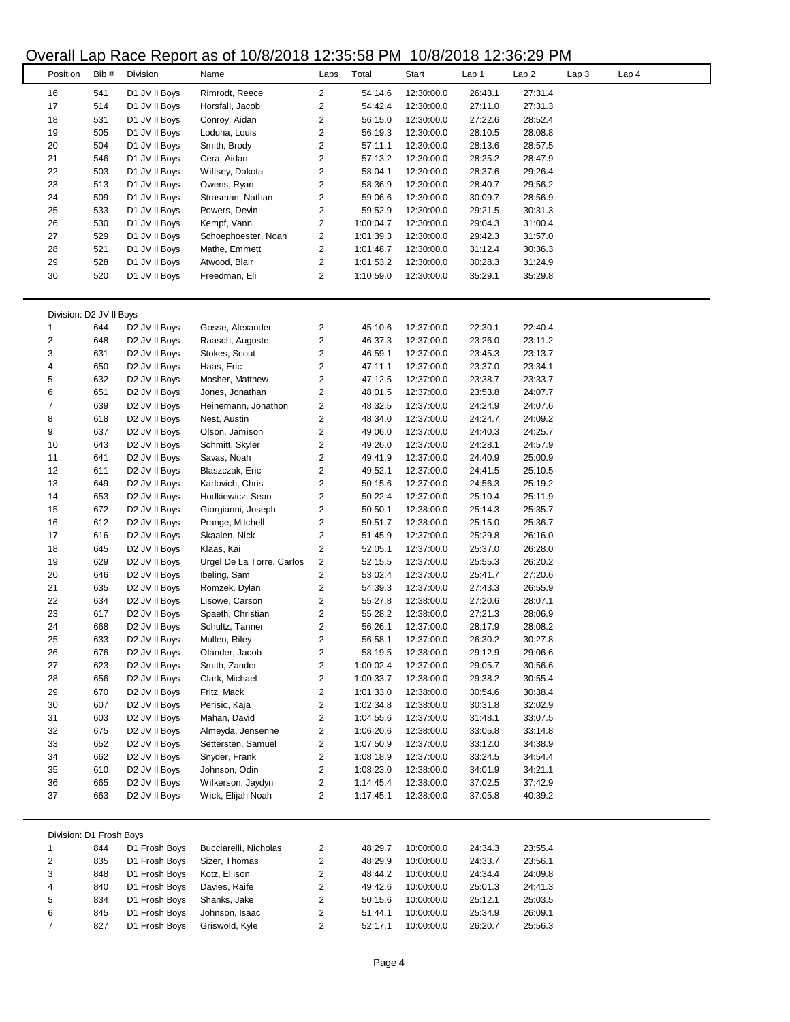### Overall Lap Race Report as of 10/8/2018 12:35:58 PM 10/8/2018 12:36:29 PM

|                         |       |                           | voiai Lap Raoc Roport as or Tololzo To Tz.00.00 T M |                         |           |            | 1919 - 200. <b>12.</b> 10. 1919 - 191 |         |                  |       |  |
|-------------------------|-------|---------------------------|-----------------------------------------------------|-------------------------|-----------|------------|---------------------------------------|---------|------------------|-------|--|
| Position                | Bib # | Division                  | Name                                                | Laps                    | Total     | Start      | Lap 1                                 | Lap2    | Lap <sub>3</sub> | Lap 4 |  |
|                         |       |                           |                                                     |                         |           |            |                                       |         |                  |       |  |
| 16                      | 541   | D1 JV II Boys             | Rimrodt, Reece                                      | $\overline{2}$          | 54:14.6   | 12:30:00.0 | 26:43.1                               | 27:31.4 |                  |       |  |
| 17                      | 514   | D1 JV II Boys             | Horsfall, Jacob                                     | 2                       | 54:42.4   | 12:30:00.0 | 27:11.0                               | 27:31.3 |                  |       |  |
| 18                      | 531   | D1 JV II Boys             | Conroy, Aidan                                       | 2                       | 56:15.0   | 12:30:00.0 | 27:22.6                               | 28:52.4 |                  |       |  |
| 19                      | 505   | D1 JV II Boys             | Loduha, Louis                                       | $\overline{\mathbf{c}}$ | 56:19.3   | 12:30:00.0 | 28:10.5                               | 28:08.8 |                  |       |  |
| 20                      | 504   | D1 JV II Boys             | Smith, Brody                                        | 2                       | 57:11.1   | 12:30:00.0 | 28:13.6                               | 28:57.5 |                  |       |  |
| 21                      | 546   | D1 JV II Boys             | Cera, Aidan                                         | 2                       | 57:13.2   | 12:30:00.0 | 28:25.2                               | 28:47.9 |                  |       |  |
| 22                      | 503   | D1 JV II Boys             | Wiltsey, Dakota                                     | 2                       | 58:04.1   | 12:30:00.0 | 28:37.6                               | 29:26.4 |                  |       |  |
| 23                      | 513   | D1 JV II Boys             | Owens, Ryan                                         | 2                       | 58:36.9   | 12:30:00.0 | 28:40.7                               | 29:56.2 |                  |       |  |
| 24                      | 509   | D1 JV II Boys             | Strasman, Nathan                                    | 2                       | 59:06.6   | 12:30:00.0 | 30:09.7                               | 28:56.9 |                  |       |  |
| 25                      | 533   | D1 JV II Boys             | Powers, Devin                                       | 2                       | 59:52.9   | 12:30:00.0 | 29:21.5                               | 30:31.3 |                  |       |  |
| 26                      | 530   | D1 JV II Boys             | Kempf, Vann                                         | 2                       | 1:00:04.7 | 12:30:00.0 | 29:04.3                               | 31:00.4 |                  |       |  |
| 27                      | 529   | D1 JV II Boys             | Schoephoester, Noah                                 | 2                       | 1:01:39.3 | 12:30:00.0 | 29:42.3                               | 31:57.0 |                  |       |  |
| 28                      | 521   | D1 JV II Boys             | Mathe, Emmett                                       | 2                       | 1:01:48.7 | 12:30:00.0 | 31:12.4                               | 30:36.3 |                  |       |  |
| 29                      | 528   | D1 JV II Boys             | Atwood, Blair                                       | 2                       | 1:01:53.2 | 12:30:00.0 | 30:28.3                               | 31:24.9 |                  |       |  |
| 30                      | 520   | D1 JV II Boys             | Freedman, Eli                                       | 2                       | 1:10:59.0 | 12:30:00.0 | 35:29.1                               | 35:29.8 |                  |       |  |
|                         |       |                           |                                                     |                         |           |            |                                       |         |                  |       |  |
|                         |       |                           |                                                     |                         |           |            |                                       |         |                  |       |  |
| Division: D2 JV II Boys |       |                           |                                                     |                         |           |            |                                       |         |                  |       |  |
| 1                       | 644   | D2 JV II Boys             | Gosse, Alexander                                    | 2                       | 45:10.6   | 12:37:00.0 | 22:30.1                               | 22:40.4 |                  |       |  |
| $\overline{2}$          | 648   |                           | Raasch, Auguste                                     | 2                       | 46:37.3   |            | 23:26.0                               | 23:11.2 |                  |       |  |
|                         |       | D <sub>2</sub> JV II Boys |                                                     |                         |           | 12:37:00.0 |                                       |         |                  |       |  |
| 3                       | 631   | D <sub>2</sub> JV II Boys | Stokes, Scout                                       | 2                       | 46:59.1   | 12:37:00.0 | 23:45.3                               | 23:13.7 |                  |       |  |
| 4                       | 650   | D <sub>2</sub> JV II Boys | Haas, Eric                                          | 2                       | 47:11.1   | 12:37:00.0 | 23:37.0                               | 23:34.1 |                  |       |  |
| 5                       | 632   | D <sub>2</sub> JV II Boys | Mosher, Matthew                                     | 2                       | 47:12.5   | 12:37:00.0 | 23:38.7                               | 23:33.7 |                  |       |  |
| 6                       | 651   | D <sub>2</sub> JV II Boys | Jones, Jonathan                                     | 2                       | 48:01.5   | 12:37:00.0 | 23:53.8                               | 24:07.7 |                  |       |  |
| $\boldsymbol{7}$        | 639   | D <sub>2</sub> JV II Boys | Heinemann, Jonathon                                 | $\overline{\mathbf{c}}$ | 48:32.5   | 12:37:00.0 | 24:24.9                               | 24:07.6 |                  |       |  |
| 8                       | 618   | D2 JV II Boys             | Nest, Austin                                        | 2                       | 48:34.0   | 12:37:00.0 | 24:24.7                               | 24:09.2 |                  |       |  |
| 9                       | 637   | D <sub>2</sub> JV II Boys | Olson, Jamison                                      | 2                       | 49:06.0   | 12:37:00.0 | 24:40.3                               | 24:25.7 |                  |       |  |
| 10                      | 643   | D <sub>2</sub> JV II Boys | Schmitt, Skyler                                     | 2                       | 49:26.0   | 12:37:00.0 | 24:28.1                               | 24:57.9 |                  |       |  |
| 11                      | 641   | D <sub>2</sub> JV II Boys | Savas, Noah                                         | 2                       | 49:41.9   | 12:37:00.0 | 24:40.9                               | 25:00.9 |                  |       |  |
| 12                      | 611   | D <sub>2</sub> JV II Boys | Blaszczak, Eric                                     | $\overline{\mathbf{c}}$ | 49:52.1   | 12:37:00.0 | 24:41.5                               | 25:10.5 |                  |       |  |
| 13                      | 649   | D <sub>2</sub> JV II Boys | Karlovich, Chris                                    | 2                       | 50:15.6   | 12:37:00.0 | 24:56.3                               | 25:19.2 |                  |       |  |
| 14                      | 653   | D <sub>2</sub> JV II Boys | Hodkiewicz, Sean                                    | 2                       | 50:22.4   | 12:37:00.0 | 25:10.4                               | 25:11.9 |                  |       |  |
|                         |       |                           |                                                     |                         |           |            |                                       |         |                  |       |  |
| 15                      | 672   | D <sub>2</sub> JV II Boys | Giorgianni, Joseph                                  | 2                       | 50:50.1   | 12:38:00.0 | 25:14.3                               | 25:35.7 |                  |       |  |
| 16                      | 612   | D <sub>2</sub> JV II Boys | Prange, Mitchell                                    | $\overline{\mathbf{c}}$ | 50:51.7   | 12:38:00.0 | 25:15.0                               | 25:36.7 |                  |       |  |
| 17                      | 616   | D <sub>2</sub> JV II Boys | Skaalen, Nick                                       | 2                       | 51:45.9   | 12:37:00.0 | 25:29.8                               | 26:16.0 |                  |       |  |
| 18                      | 645   | D <sub>2</sub> JV II Boys | Klaas, Kai                                          | 2                       | 52:05.1   | 12:37:00.0 | 25:37.0                               | 26:28.0 |                  |       |  |
| 19                      | 629   | D <sub>2</sub> JV II Boys | Urgel De La Torre, Carlos                           | 2                       | 52:15.5   | 12:37:00.0 | 25:55.3                               | 26:20.2 |                  |       |  |
| 20                      | 646   | D <sub>2</sub> JV II Boys | Ibeling, Sam                                        | 2                       | 53:02.4   | 12:37:00.0 | 25:41.7                               | 27:20.6 |                  |       |  |
| 21                      | 635   | D <sub>2</sub> JV II Boys | Romzek, Dylan                                       | $\overline{\mathbf{c}}$ | 54:39.3   | 12:37:00.0 | 27:43.3                               | 26:55.9 |                  |       |  |
| 22                      | 634   | D <sub>2</sub> JV II Boys | Lisowe, Carson                                      | 2                       | 55:27.8   | 12:38:00.0 | 27:20.6                               | 28:07.1 |                  |       |  |
| 23                      | 617   | D <sub>2</sub> JV II Boys | Spaeth, Christian                                   | 2                       | 55:28.2   | 12:38:00.0 | 27:21.3                               | 28:06.9 |                  |       |  |
| 24                      | 668   | D <sub>2</sub> JV II Boys | Schultz, Tanner                                     | 2                       | 56:26.1   | 12:37:00.0 | 28:17.9                               | 28:08.2 |                  |       |  |
| 25                      | 633   | D <sub>2</sub> JV II Boys | Mullen, Riley                                       | 2                       | 56:58.1   | 12:37:00.0 | 26:30.2                               | 30:27.8 |                  |       |  |
| 26                      | 676   | D <sub>2</sub> JV II Boys | Olander, Jacob                                      | 2                       | 58:19.5   | 12:38:00.0 | 29:12.9                               | 29:06.6 |                  |       |  |
| 27                      | 623   | D2 JV II Boys             | Smith, Zander                                       | 2                       | 1:00:02.4 | 12:37:00.0 | 29:05.7                               | 30:56.6 |                  |       |  |
|                         |       |                           |                                                     |                         |           |            |                                       |         |                  |       |  |
| 28                      | 656   | D <sub>2</sub> JV II Boys | Clark, Michael                                      | 2                       | 1:00:33.7 | 12:38:00.0 | 29:38.2                               | 30:55.4 |                  |       |  |
| 29                      | 670   | D2 JV II Boys             | Fritz, Mack                                         | 2                       | 1:01:33.0 | 12:38:00.0 | 30:54.6                               | 30:38.4 |                  |       |  |
| 30                      | 607   | D <sub>2</sub> JV II Boys | Perisic, Kaja                                       | $\overline{\mathbf{c}}$ | 1:02:34.8 | 12:38:00.0 | 30:31.8                               | 32:02.9 |                  |       |  |
| 31                      | 603   | D <sub>2</sub> JV II Boys | Mahan, David                                        | 2                       | 1:04:55.6 | 12:37:00.0 | 31:48.1                               | 33:07.5 |                  |       |  |
| 32                      | 675   | D2 JV II Boys             | Almeyda, Jensenne                                   | 2                       | 1:06:20.6 | 12:38:00.0 | 33:05.8                               | 33:14.8 |                  |       |  |
| 33                      | 652   | D2 JV II Boys             | Settersten, Samuel                                  | 2                       | 1:07:50.9 | 12:37:00.0 | 33:12.0                               | 34:38.9 |                  |       |  |
| 34                      | 662   | D2 JV II Boys             | Snyder, Frank                                       | 2                       | 1:08:18.9 | 12:37:00.0 | 33:24.5                               | 34:54.4 |                  |       |  |
| 35                      | 610   | D2 JV II Boys             | Johnson, Odin                                       | 2                       | 1:08:23.0 | 12:38:00.0 | 34:01.9                               | 34:21.1 |                  |       |  |
| 36                      | 665   | D2 JV II Boys             | Wilkerson, Jaydyn                                   | 2                       | 1:14:45.4 | 12:38:00.0 | 37:02.5                               | 37:42.9 |                  |       |  |
| 37                      | 663   | D <sub>2</sub> JV II Boys | Wick, Elijah Noah                                   | 2                       | 1:17:45.1 | 12:38:00.0 | 37:05.8                               | 40:39.2 |                  |       |  |
|                         |       |                           |                                                     |                         |           |            |                                       |         |                  |       |  |
|                         |       |                           |                                                     |                         |           |            |                                       |         |                  |       |  |
| Division: D1 Frosh Boys |       |                           |                                                     |                         |           |            |                                       |         |                  |       |  |
| 1                       | 844   | D1 Frosh Boys             | Bucciarelli, Nicholas                               | 2                       | 48:29.7   | 10:00:00.0 | 24:34.3                               | 23:55.4 |                  |       |  |
| 2                       | 835   | D1 Frosh Boys             | Sizer, Thomas                                       | 2                       | 48:29.9   | 10:00:00.0 | 24:33.7                               | 23:56.1 |                  |       |  |
| 3                       | 848   | D1 Frosh Boys             | Kotz, Ellison                                       | 2                       | 48:44.2   | 10:00:00.0 | 24:34.4                               | 24:09.8 |                  |       |  |
| 4                       | 840   | D1 Frosh Boys             | Davies, Raife                                       | 2                       | 49:42.6   | 10:00:00.0 | 25:01.3                               | 24:41.3 |                  |       |  |
| 5                       | 834   | D1 Frosh Boys             | Shanks, Jake                                        | 2                       | 50:15.6   | 10:00:00.0 | 25:12.1                               | 25:03.5 |                  |       |  |
|                         |       | D1 Frosh Boys             | Johnson, Isaac                                      |                         |           |            |                                       |         |                  |       |  |
| 6                       | 845   |                           |                                                     | $\overline{\mathbf{c}}$ | 51:44.1   | 10:00:00.0 | 25:34.9                               | 26:09.1 |                  |       |  |
| $\overline{7}$          | 827   | D1 Frosh Boys             | Griswold, Kyle                                      | $\overline{\mathbf{c}}$ | 52:17.1   | 10:00:00.0 | 26:20.7                               | 25:56.3 |                  |       |  |